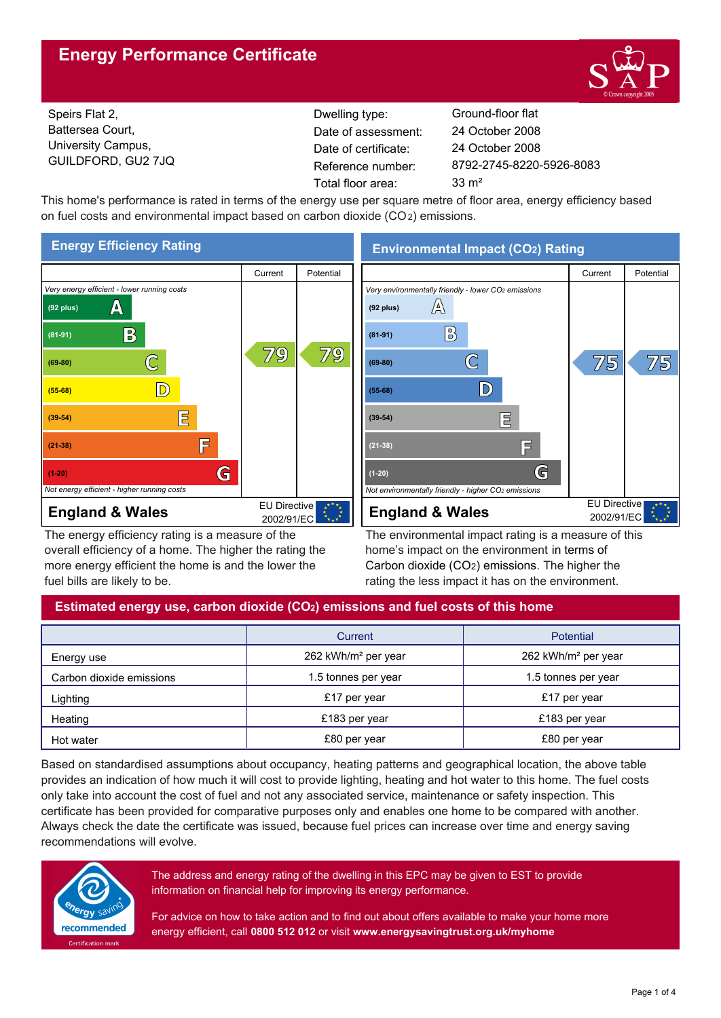# **Energy Performance Certificate**



Speirs Flat 2, Battersea Court, University Campus, GUILDFORD, GU2 7JQ

Dwelling type: Ground-floor flat Date of certificate: Total floor area: 33 m<sup>2</sup> Date of assessment:

8792-2745-8220-5926-8083 24 October 2008 24 October 2008

This home's performance is rated in terms of the energy use per square metre of floor area, energy efficiency based on fuel costs and environmental impact based on carbon dioxide (CO2) emissions.



The energy efficiency rating is a measure of the overall efficiency of a home. The higher the rating the more energy efficient the home is and the lower the fuel bills are likely to be.

# **Environmental Impact (CO2) Rating**



The environmental impact rating is a measure of this home's impact on the environment in terms of Carbon dioxide (CO2) emissions. The higher the rating the less impact it has on the environment.

## **Estimated energy use, carbon dioxide (CO2) emissions and fuel costs of this home**

|                          | Current                         | Potential                       |  |
|--------------------------|---------------------------------|---------------------------------|--|
| Energy use               | 262 kWh/m <sup>2</sup> per year | 262 kWh/m <sup>2</sup> per year |  |
| Carbon dioxide emissions | 1.5 tonnes per year             | 1.5 tonnes per year             |  |
| Lighting                 | £17 per year                    | £17 per year                    |  |
| Heating                  | £183 per year                   | £183 per year                   |  |
| Hot water                | £80 per year                    | £80 per year                    |  |

Based on standardised assumptions about occupancy, heating patterns and geographical location, the above table provides an indication of how much it will cost to provide lighting, heating and hot water to this home. The fuel costs only take into account the cost of fuel and not any associated service, maintenance or safety inspection. This certificate has been provided for comparative purposes only and enables one home to be compared with another. Always check the date the certificate was issued, because fuel prices can increase over time and energy saving recommendations will evolve.



The address and energy rating of the dwelling in this EPC may be given to EST to provide information on financial help for improving its energy performance.

For advice on how to take action and to find out about offers available to make your home more energy efficient, call **0800 512 012** or visit **www.energysavingtrust.org.uk/myhome**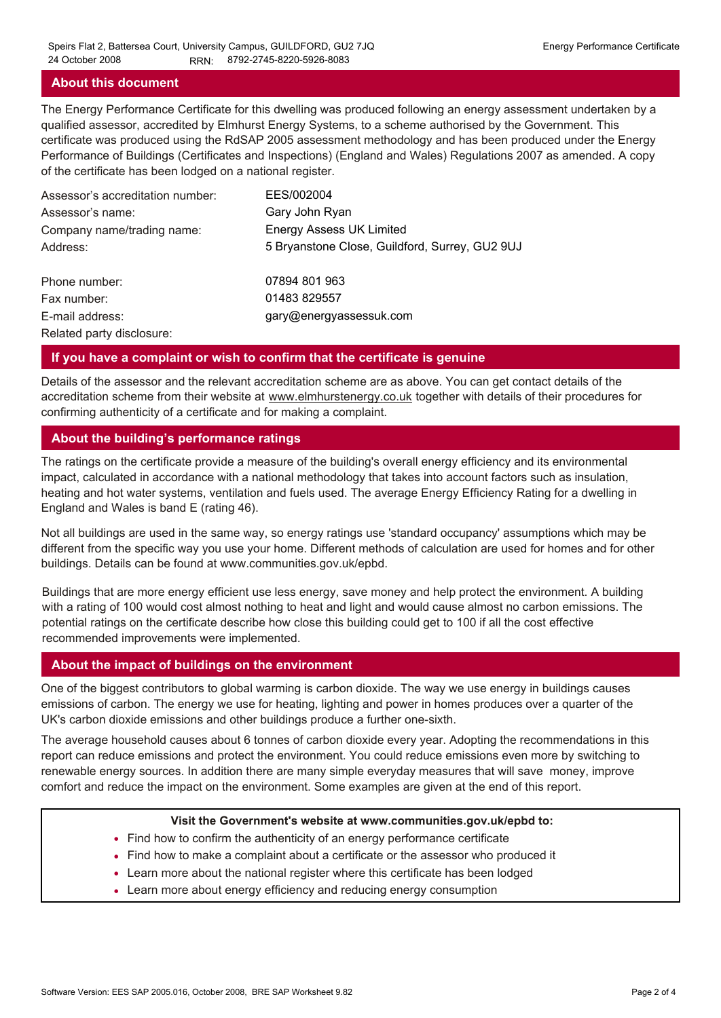### **About this document**

The Energy Performance Certificate for this dwelling was produced following an energy assessment undertaken by a qualified assessor, accredited by Elmhurst Energy Systems, to a scheme authorised by the Government. This certificate was produced using the RdSAP 2005 assessment methodology and has been produced under the Energy Performance of Buildings (Certificates and Inspections) (England and Wales) Regulations 2007 as amended. A copy of the certificate has been lodged on a national register.

| Assessor's accreditation number: | EES/002004                                     |
|----------------------------------|------------------------------------------------|
| Assessor's name:                 | Gary John Ryan                                 |
| Company name/trading name:       | <b>Energy Assess UK Limited</b>                |
| Address:                         | 5 Bryanstone Close, Guildford, Surrey, GU2 9UJ |
| Phone number:                    | 07894 801 963                                  |
| Fax number:                      | 01483 829557                                   |
| E-mail address:                  | gary@energyassessuk.com                        |
| Related party disclosure:        |                                                |

### **If you have a complaint or wish to confirm that the certificate is genuine**

Details of the assessor and the relevant accreditation scheme are as above. You can get contact details of the accreditation scheme from their website at www.elmhurstenergy.co.uk together with details of their procedures for confirming authenticity of a certificate and for making a complaint.

### **About the building's performance ratings**

The ratings on the certificate provide a measure of the building's overall energy efficiency and its environmental impact, calculated in accordance with a national methodology that takes into account factors such as insulation, heating and hot water systems, ventilation and fuels used. The average Energy Efficiency Rating for a dwelling in England and Wales is band E (rating 46).

Not all buildings are used in the same way, so energy ratings use 'standard occupancy' assumptions which may be different from the specific way you use your home. Different methods of calculation are used for homes and for other buildings. Details can be found at www.communities.gov.uk/epbd.

Buildings that are more energy efficient use less energy, save money and help protect the environment. A building with a rating of 100 would cost almost nothing to heat and light and would cause almost no carbon emissions. The potential ratings on the certificate describe how close this building could get to 100 if all the cost effective recommended improvements were implemented.

### **About the impact of buildings on the environment**

One of the biggest contributors to global warming is carbon dioxide. The way we use energy in buildings causes emissions of carbon. The energy we use for heating, lighting and power in homes produces over a quarter of the UK's carbon dioxide emissions and other buildings produce a further one-sixth.

The average household causes about 6 tonnes of carbon dioxide every year. Adopting the recommendations in this report can reduce emissions and protect the environment. You could reduce emissions even more by switching to renewable energy sources. In addition there are many simple everyday measures that will save money, improve comfort and reduce the impact on the environment. Some examples are given at the end of this report.

#### **Visit the Government's website at www.communities.gov.uk/epbd to:**

- Find how to confirm the authenticity of an energy performance certificate
- Find how to make a complaint about a certificate or the assessor who produced it •
- Learn more about the national register where this certificate has been lodged •
- Learn more about energy efficiency and reducing energy consumption •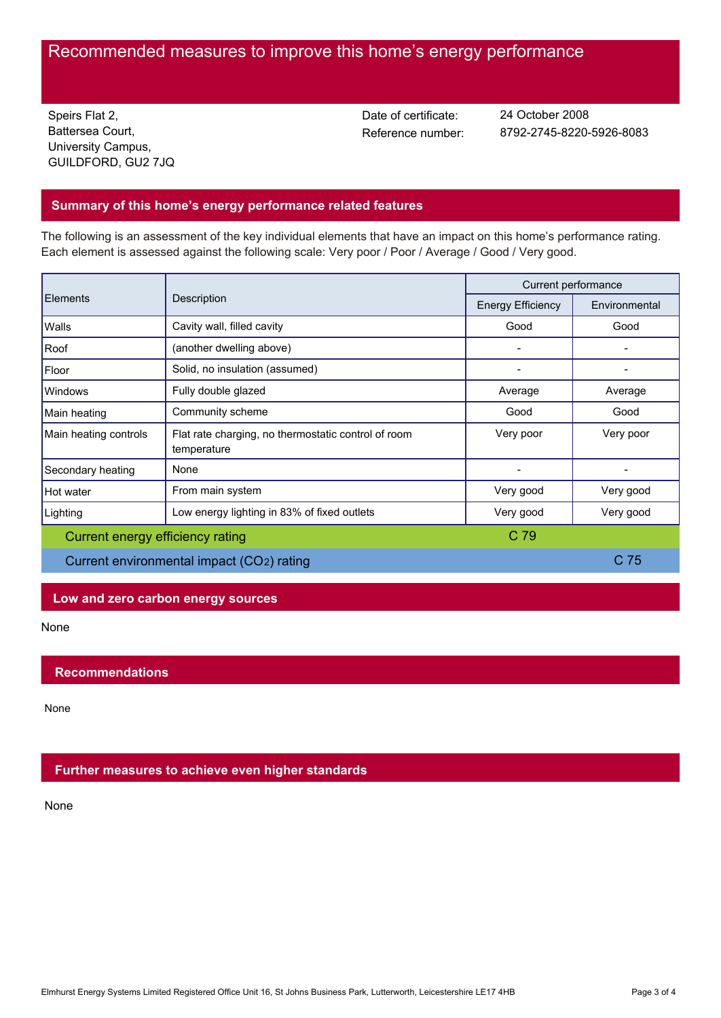# Recommended measures to improve this home's energy performance

Speirs Flat 2, Battersea Court, University Campus, GUILDFORD, GU2 7JQ Date of certificate:

Reference number: 8792-2745-8220-5926-8083 24 October 2008

## **Summary of this home's energy performance related features**

The following is an assessment of the key individual elements that have an impact on this home's performance rating. Each element is assessed against the following scale: Very poor / Poor / Average / Good / Very good.

| <b>Elements</b>                           | Description                                                        | Current performance      |                 |
|-------------------------------------------|--------------------------------------------------------------------|--------------------------|-----------------|
|                                           |                                                                    | <b>Energy Efficiency</b> | Environmental   |
| Walls                                     | Cavity wall, filled cavity                                         | Good                     | Good            |
| Roof                                      | (another dwelling above)                                           |                          |                 |
| Floor                                     | Solid, no insulation (assumed)                                     |                          |                 |
| Windows                                   | Fully double glazed                                                | Average                  | Average         |
| Main heating                              | Community scheme                                                   | Good                     | Good            |
| Main heating controls                     | Flat rate charging, no thermostatic control of room<br>temperature | Very poor                | Very poor       |
| Secondary heating                         | None                                                               |                          |                 |
| Hot water                                 | From main system                                                   | Very good                | Very good       |
| Lighting                                  | Low energy lighting in 83% of fixed outlets                        | Very good                | Very good       |
| Current energy efficiency rating          |                                                                    | C 79                     |                 |
| Current environmental impact (CO2) rating |                                                                    |                          | C <sub>75</sub> |

## **Low and zero carbon energy sources**

None

## **Recommendations**

None

## **Further measures to achieve even higher standards**

None